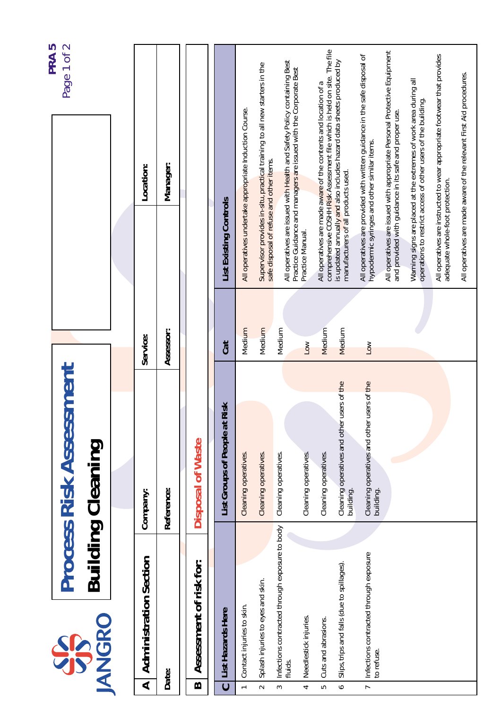|                |                                                           |                                                            |                       |                                                                                                                                              | PRA <sub>5</sub>                                                         |
|----------------|-----------------------------------------------------------|------------------------------------------------------------|-----------------------|----------------------------------------------------------------------------------------------------------------------------------------------|--------------------------------------------------------------------------|
|                | <b>IANGRO</b><br>SS                                       | <b>Process Risk Assessment</b><br>Building Cleaning        |                       |                                                                                                                                              | Page 1 of 2                                                              |
|                |                                                           |                                                            |                       |                                                                                                                                              |                                                                          |
| ⋖              | <b>Administration Section</b>                             | Company:                                                   | Service:              | Location:                                                                                                                                    |                                                                          |
|                | Date:                                                     | Reference:                                                 | Assessor:             | Manager:                                                                                                                                     |                                                                          |
| m              | Assessment of risk for:                                   | Disposal of Waste                                          |                       |                                                                                                                                              |                                                                          |
| ပ              | List Hazards Here                                         | Risk<br>List Groups of People at                           | Cat                   | List Existing Controls                                                                                                                       |                                                                          |
| $\overline{ }$ | Contact injuries to skin.                                 | Cleaning operatives.                                       | Medium                | All operatives undertake appropriate Induction Course.                                                                                       |                                                                          |
| $\sim$         | Splash injuries to eyes and skin.                         | Cleaning operatives.                                       | Medium                | Supervisor provides in-situ, practical training to all new starters in the<br>safe disposal of refuse and other items.                       |                                                                          |
| 3              | Infections contracted through exposure to body<br>fluids. | Cleaning operatives.                                       | Medium                | All operatives are issued with Health and Safety Policy containing Best<br>Practice Guidance and managers are issued with the Corporate Best |                                                                          |
| 4              | Needlestick injuries.                                     | Cleaning operatives.                                       | $\overline{\text{S}}$ | Practice Manual.                                                                                                                             |                                                                          |
| LO.            | Cuts and abrasions.                                       | Cleaning operatives.                                       | Medium                | All operatives are made aware of the contents and location of a                                                                              | comprehensive COSHH Risk Assessment file which is held on site. The file |
| $\bullet$      | Slips, trips and falls (due to spillages).                | users of the<br>Cleaning operatives and other<br>building. | Medium                | is updated annually and also includes hazard data sheets produced by<br>manufacturers of all products used.                                  |                                                                          |
| $\overline{r}$ | Infections contracted through exposure<br>to refuse.      | users of the<br>Cleaning operatives and other<br>building. | Low                   | All operatives are provided with written guidance in the safe disposal of<br>hypodermic syringes and other similar items.                    |                                                                          |
|                |                                                           |                                                            |                       | All operatives are issued with appropriate Personal Protective Equipment<br>and provided with guidance in its safe and proper use.           |                                                                          |
|                |                                                           |                                                            |                       | Warning signs are placed at the extremes of work area during all<br>operations to restrict access of other users of the building.            |                                                                          |
|                |                                                           |                                                            |                       | All operatives are instructed to wear appropriate footwear that provides<br>adequate whole-foot protection.                                  |                                                                          |
|                |                                                           |                                                            |                       | All operatives are made aware of the relevant First Aid procedures.                                                                          |                                                                          |